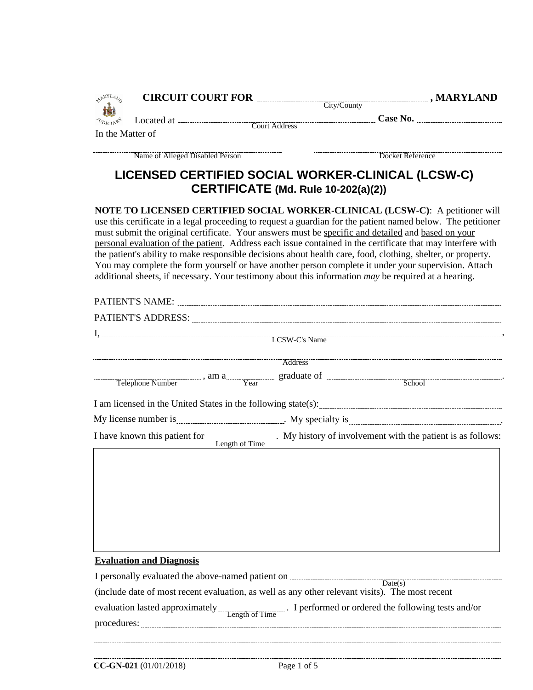| <b>AARYLANS</b>  |                                 |                                     | CIRCUIT COURT FOR City/County City/County , MARYLAND                                                                                                                                                                                                                                                                                                                                                                                                                                                                                                                                                                                                                                                                                               |
|------------------|---------------------------------|-------------------------------------|----------------------------------------------------------------------------------------------------------------------------------------------------------------------------------------------------------------------------------------------------------------------------------------------------------------------------------------------------------------------------------------------------------------------------------------------------------------------------------------------------------------------------------------------------------------------------------------------------------------------------------------------------------------------------------------------------------------------------------------------------|
| <b>UDICIARY</b>  |                                 |                                     |                                                                                                                                                                                                                                                                                                                                                                                                                                                                                                                                                                                                                                                                                                                                                    |
| In the Matter of |                                 |                                     | Located at <u>Court Address</u> Case No.                                                                                                                                                                                                                                                                                                                                                                                                                                                                                                                                                                                                                                                                                                           |
|                  | Name of Alleged Disabled Person |                                     | Docket Reference                                                                                                                                                                                                                                                                                                                                                                                                                                                                                                                                                                                                                                                                                                                                   |
|                  |                                 |                                     | LICENSED CERTIFIED SOCIAL WORKER-CLINICAL (LCSW-C)                                                                                                                                                                                                                                                                                                                                                                                                                                                                                                                                                                                                                                                                                                 |
|                  |                                 | CERTIFICATE (Md. Rule 10-202(a)(2)) |                                                                                                                                                                                                                                                                                                                                                                                                                                                                                                                                                                                                                                                                                                                                                    |
|                  |                                 |                                     | NOTE TO LICENSED CERTIFIED SOCIAL WORKER-CLINICAL (LCSW-C): A petitioner will<br>use this certificate in a legal proceeding to request a guardian for the patient named below. The petitioner<br>must submit the original certificate. Your answers must be specific and detailed and based on your<br>personal evaluation of the patient. Address each issue contained in the certificate that may interfere with<br>the patient's ability to make responsible decisions about health care, food, clothing, shelter, or property.<br>You may complete the form yourself or have another person complete it under your supervision. Attach<br>additional sheets, if necessary. Your testimony about this information may be required at a hearing. |
|                  |                                 |                                     |                                                                                                                                                                                                                                                                                                                                                                                                                                                                                                                                                                                                                                                                                                                                                    |
|                  |                                 |                                     | PATIENT'S ADDRESS: Universe of the set of the set of the set of the set of the set of the set of the set of the set of the set of the set of the set of the set of the set of the set of the set of the set of the set of the                                                                                                                                                                                                                                                                                                                                                                                                                                                                                                                      |
|                  |                                 |                                     |                                                                                                                                                                                                                                                                                                                                                                                                                                                                                                                                                                                                                                                                                                                                                    |
|                  |                                 |                                     |                                                                                                                                                                                                                                                                                                                                                                                                                                                                                                                                                                                                                                                                                                                                                    |
|                  |                                 |                                     | Telephone Number , am a Tear graduate of Telephone Number , am a Telephone Number                                                                                                                                                                                                                                                                                                                                                                                                                                                                                                                                                                                                                                                                  |
|                  |                                 |                                     |                                                                                                                                                                                                                                                                                                                                                                                                                                                                                                                                                                                                                                                                                                                                                    |
|                  |                                 |                                     |                                                                                                                                                                                                                                                                                                                                                                                                                                                                                                                                                                                                                                                                                                                                                    |
|                  |                                 |                                     | My license number is <u>contained and the set of the set of the set of the set of the set of the set of the set of the set of the set of the set of the set of the set of the set of the set of the set of the set of the set of</u>                                                                                                                                                                                                                                                                                                                                                                                                                                                                                                               |
|                  |                                 |                                     | I have known this patient for <u>Length of Time</u> . My history of involvement with the patient is as follows:                                                                                                                                                                                                                                                                                                                                                                                                                                                                                                                                                                                                                                    |
|                  |                                 |                                     |                                                                                                                                                                                                                                                                                                                                                                                                                                                                                                                                                                                                                                                                                                                                                    |
|                  |                                 |                                     |                                                                                                                                                                                                                                                                                                                                                                                                                                                                                                                                                                                                                                                                                                                                                    |
|                  |                                 |                                     |                                                                                                                                                                                                                                                                                                                                                                                                                                                                                                                                                                                                                                                                                                                                                    |
|                  |                                 |                                     |                                                                                                                                                                                                                                                                                                                                                                                                                                                                                                                                                                                                                                                                                                                                                    |
|                  |                                 |                                     |                                                                                                                                                                                                                                                                                                                                                                                                                                                                                                                                                                                                                                                                                                                                                    |

# **Evaluation and Diagnosis**

| I personally evaluated the above-named patient on ________                                                 |
|------------------------------------------------------------------------------------------------------------|
| Date(s)<br>(include date of most recent evaluation, as well as any other relevant visits). The most recent |
| evaluation lasted approximately<br>Length of Time. I performed or ordered the following tests and/or       |
| procedures:                                                                                                |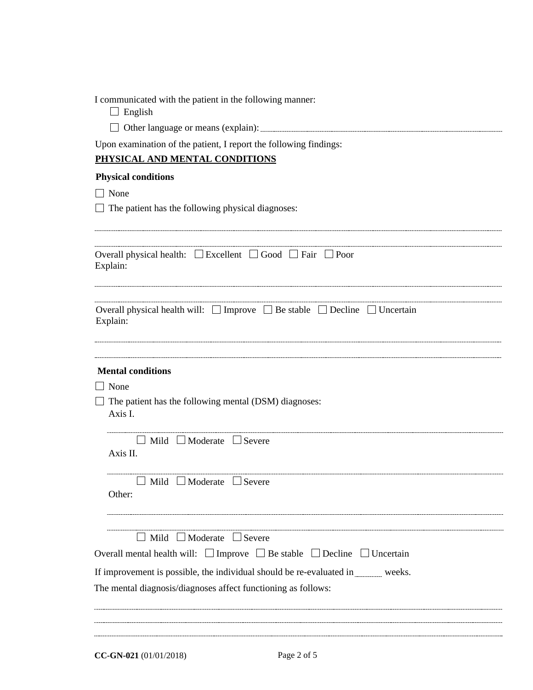|  |  |  | I communicated with the patient in the following manner: |  |
|--|--|--|----------------------------------------------------------|--|
|  |  |  |                                                          |  |

| . .<br>н |
|----------|
|----------|

| $\Box$ Other language or means (explain): |  |
|-------------------------------------------|--|
|                                           |  |

Upon examination of the patient, I report the following findings:

# **PHYSICAL AND MENTAL CONDITIONS**

# **Physical conditions**

None

 $\Box$  The patient has the following physical diagnoses:

| Overall physical health: $\Box$ Excellent $\Box$ Good $\Box$ Fair $\Box$ Poor<br>Explain:               |
|---------------------------------------------------------------------------------------------------------|
| Overall physical health will: $\Box$ Improve $\Box$ Be stable $\Box$ Decline $\Box$ Uncertain           |
| Explain:                                                                                                |
|                                                                                                         |
| <b>Mental conditions</b>                                                                                |
| $\Box$ None                                                                                             |
| $\Box$ The patient has the following mental (DSM) diagnoses:<br>Axis I.                                 |
| $\Box$ Mild $\Box$ Moderate $\Box$ Severe<br>Axis II.                                                   |
| $\Box$ Mild $\Box$ Moderate $\Box$ Severe<br>Other:                                                     |
| $\Box$ Mild $\Box$ Moderate $\Box$ Severe                                                               |
|                                                                                                         |
| Overall mental health will: $\square$ Improve $\square$ Be stable $\square$ Decline $\square$ Uncertain |
| If improvement is possible, the individual should be re-evaluated in weeks.                             |
| The mental diagnosis/diagnoses affect functioning as follows:                                           |
|                                                                                                         |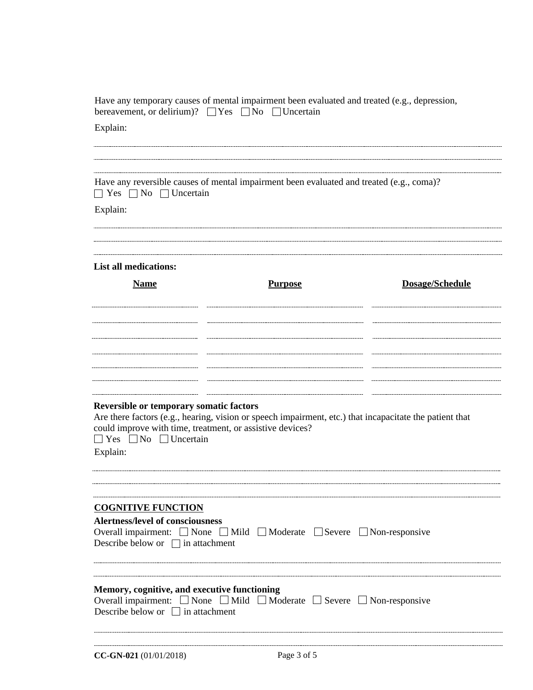| Explain:                                                                                                                                                  |                                                                                                         |                 |
|-----------------------------------------------------------------------------------------------------------------------------------------------------------|---------------------------------------------------------------------------------------------------------|-----------------|
|                                                                                                                                                           |                                                                                                         |                 |
|                                                                                                                                                           |                                                                                                         |                 |
|                                                                                                                                                           | Have any reversible causes of mental impairment been evaluated and treated (e.g., coma)?                |                 |
| $\Box$ Yes $\Box$ No $\Box$ Uncertain                                                                                                                     |                                                                                                         |                 |
| Explain:                                                                                                                                                  |                                                                                                         |                 |
| <b>List all medications:</b>                                                                                                                              |                                                                                                         |                 |
| <b>Name</b>                                                                                                                                               | <b>Purpose</b>                                                                                          | Dosage/Schedule |
|                                                                                                                                                           |                                                                                                         |                 |
|                                                                                                                                                           |                                                                                                         |                 |
|                                                                                                                                                           |                                                                                                         |                 |
|                                                                                                                                                           |                                                                                                         |                 |
|                                                                                                                                                           |                                                                                                         |                 |
| Reversible or temporary somatic factors<br>could improve with time, treatment, or assistive devices?<br>$\Box$ Yes $\Box$ No $\Box$ Uncertain<br>Explain: | Are there factors (e.g., hearing, vision or speech impairment, etc.) that incapacitate the patient that |                 |
|                                                                                                                                                           |                                                                                                         |                 |
| <b>COGNITIVE FUNCTION</b><br><b>Alertness/level of consciousness</b>                                                                                      |                                                                                                         |                 |
| Describe below or $\Box$ in attachment                                                                                                                    | Overall impairment: None Mild Moderate Severe Non-responsive                                            |                 |
|                                                                                                                                                           |                                                                                                         |                 |
|                                                                                                                                                           |                                                                                                         |                 |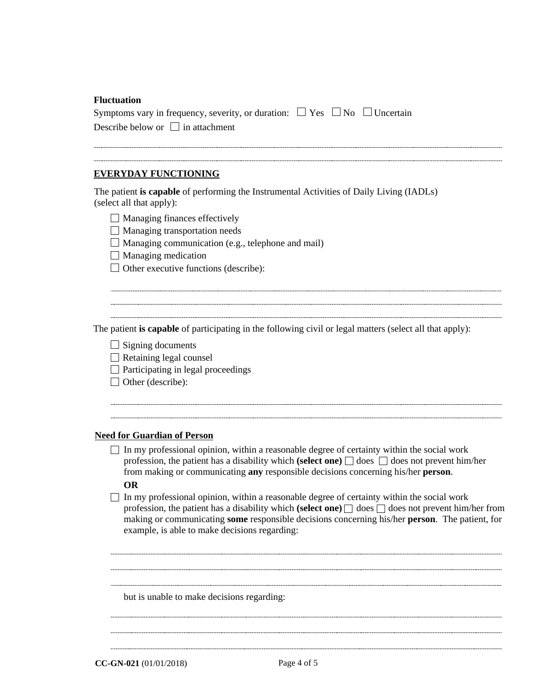#### **Fluctuation**

| Symptoms vary in frequency, severity, or duration: $\Box$ Yes $\Box$ No $\Box$ Uncertain |  |  |
|------------------------------------------------------------------------------------------|--|--|
| Describe below or $\Box$ in attachment                                                   |  |  |

#### **EVERYDAY FUNCTIONING**

The patient **is capable** of performing the Instrumental Activities of Daily Living (IADLs) (select all that apply):

- $\Box$  Managing finances effectively
- $\Box$  Managing transportation needs
- Managing communication (e.g., telephone and mail)
- $\Box$  Managing medication
- $\Box$  Other executive functions (describe):

The patient **is capable** of participating in the following civil or legal matters (select all that apply):

- $\Box$  Signing documents
- $\Box$  Retaining legal counsel
- $\Box$  Participating in legal proceedings
- $\Box$  Other (describe):

### **Need for Guardian of Person**

 $\Box$  In my professional opinion, within a reasonable degree of certainty within the social work profession, the patient has a disability which **(select one)**  $\Box$  does  $\Box$  does not prevent him/her from making or communicating **any** responsible decisions concerning his/her **person**.

### **OR**

 $\Box$  In my professional opinion, within a reasonable degree of certainty within the social work profession, the patient has a disability which **(select one)**  $\Box$  does  $\Box$  does not prevent him/her from making or communicating **some** responsible decisions concerning his/her **person**. The patient, for example, is able to make decisions regarding:

but is unable to make decisions regarding:

**CC-GN-021** (01/01/2018) Page 4 of 5